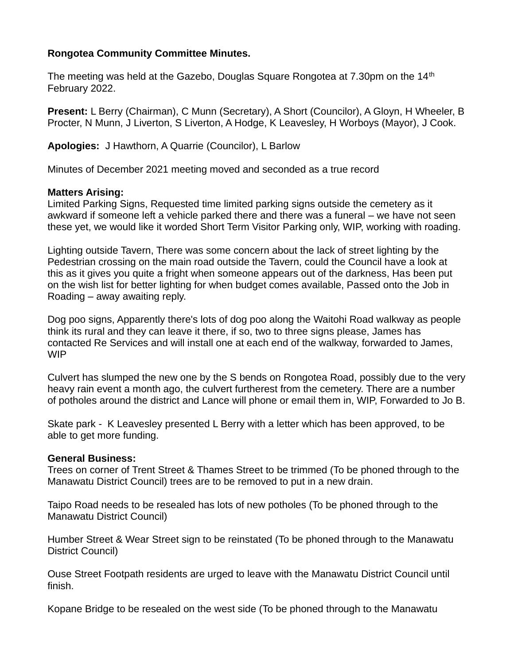# **Rongotea Community Committee Minutes.**

The meeting was held at the Gazebo, Douglas Square Rongotea at 7.30pm on the 14<sup>th</sup> February 2022.

**Present:** L Berry (Chairman), C Munn (Secretary), A Short (Councilor), A Gloyn, H Wheeler, B Procter, N Munn, J Liverton, S Liverton, A Hodge, K Leavesley, H Worboys (Mayor), J Cook.

**Apologies:** J Hawthorn, A Quarrie (Councilor), L Barlow

Minutes of December 2021 meeting moved and seconded as a true record

# **Matters Arising:**

Limited Parking Signs, Requested time limited parking signs outside the cemetery as it awkward if someone left a vehicle parked there and there was a funeral – we have not seen these yet, we would like it worded Short Term Visitor Parking only, WIP, working with roading.

Lighting outside Tavern, There was some concern about the lack of street lighting by the Pedestrian crossing on the main road outside the Tavern, could the Council have a look at this as it gives you quite a fright when someone appears out of the darkness, Has been put on the wish list for better lighting for when budget comes available, Passed onto the Job in Roading – away awaiting reply.

Dog poo signs, Apparently there's lots of dog poo along the Waitohi Road walkway as people think its rural and they can leave it there, if so, two to three signs please, James has contacted Re Services and will install one at each end of the walkway, forwarded to James, WIP

Culvert has slumped the new one by the S bends on Rongotea Road, possibly due to the very heavy rain event a month ago, the culvert furtherest from the cemetery. There are a number of potholes around the district and Lance will phone or email them in, WIP, Forwarded to Jo B.

Skate park - K Leavesley presented L Berry with a letter which has been approved, to be able to get more funding.

### **General Business:**

Trees on corner of Trent Street & Thames Street to be trimmed (To be phoned through to the Manawatu District Council) trees are to be removed to put in a new drain.

Taipo Road needs to be resealed has lots of new potholes (To be phoned through to the Manawatu District Council)

Humber Street & Wear Street sign to be reinstated (To be phoned through to the Manawatu District Council)

Ouse Street Footpath residents are urged to leave with the Manawatu District Council until finish.

Kopane Bridge to be resealed on the west side (To be phoned through to the Manawatu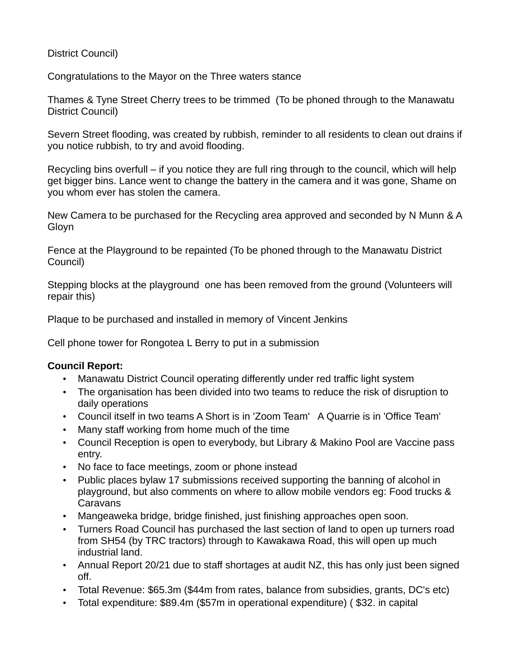# District Council)

Congratulations to the Mayor on the Three waters stance

Thames & Tyne Street Cherry trees to be trimmed (To be phoned through to the Manawatu District Council)

Severn Street flooding, was created by rubbish, reminder to all residents to clean out drains if you notice rubbish, to try and avoid flooding.

Recycling bins overfull – if you notice they are full ring through to the council, which will help get bigger bins. Lance went to change the battery in the camera and it was gone, Shame on you whom ever has stolen the camera.

New Camera to be purchased for the Recycling area approved and seconded by N Munn & A Gloyn

Fence at the Playground to be repainted (To be phoned through to the Manawatu District Council)

Stepping blocks at the playground one has been removed from the ground (Volunteers will repair this)

Plaque to be purchased and installed in memory of Vincent Jenkins

Cell phone tower for Rongotea L Berry to put in a submission

### **Council Report:**

- Manawatu District Council operating differently under red traffic light system
- The organisation has been divided into two teams to reduce the risk of disruption to daily operations
- Council itself in two teams A Short is in 'Zoom Team' A Quarrie is in 'Office Team'
- Many staff working from home much of the time
- Council Reception is open to everybody, but Library & Makino Pool are Vaccine pass entry.
- No face to face meetings, zoom or phone instead
- Public places bylaw 17 submissions received supporting the banning of alcohol in playground, but also comments on where to allow mobile vendors eg: Food trucks & **Caravans**
- Mangeaweka bridge, bridge finished, just finishing approaches open soon.
- Turners Road Council has purchased the last section of land to open up turners road from SH54 (by TRC tractors) through to Kawakawa Road, this will open up much industrial land.
- Annual Report 20/21 due to staff shortages at audit NZ, this has only just been signed off.
- Total Revenue: \$65.3m (\$44m from rates, balance from subsidies, grants, DC's etc)
- Total expenditure: \$89.4m (\$57m in operational expenditure) ( \$32. in capital